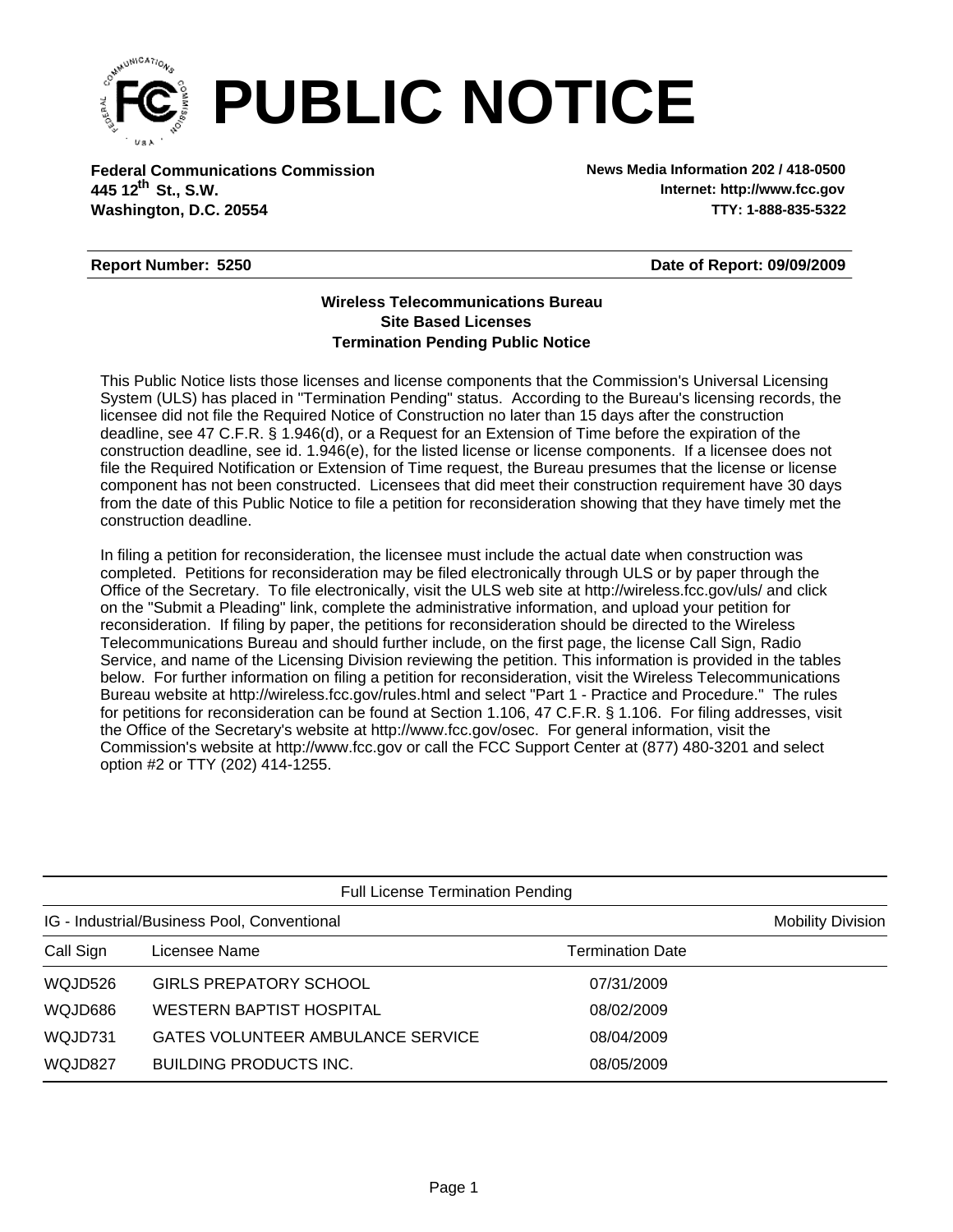

**Federal Communications Commission News Media Information 202 / 418-0500 Washington, D.C. 20554 TTY: 1-888-835-5322 445 12<sup>th</sup> St., S.W.** 

**Internet: http://www.fcc.gov**

## **Report Number: 5250**

**Date of Report: 09/09/2009**

## **Wireless Telecommunications Bureau Site Based Licenses Termination Pending Public Notice**

This Public Notice lists those licenses and license components that the Commission's Universal Licensing System (ULS) has placed in "Termination Pending" status. According to the Bureau's licensing records, the licensee did not file the Required Notice of Construction no later than 15 days after the construction deadline, see 47 C.F.R. § 1.946(d), or a Request for an Extension of Time before the expiration of the construction deadline, see id. 1.946(e), for the listed license or license components. If a licensee does not file the Required Notification or Extension of Time request, the Bureau presumes that the license or license component has not been constructed. Licensees that did meet their construction requirement have 30 days from the date of this Public Notice to file a petition for reconsideration showing that they have timely met the construction deadline.

In filing a petition for reconsideration, the licensee must include the actual date when construction was completed. Petitions for reconsideration may be filed electronically through ULS or by paper through the Office of the Secretary. To file electronically, visit the ULS web site at http://wireless.fcc.gov/uls/ and click on the "Submit a Pleading" link, complete the administrative information, and upload your petition for reconsideration. If filing by paper, the petitions for reconsideration should be directed to the Wireless Telecommunications Bureau and should further include, on the first page, the license Call Sign, Radio Service, and name of the Licensing Division reviewing the petition. This information is provided in the tables below. For further information on filing a petition for reconsideration, visit the Wireless Telecommunications Bureau website at http://wireless.fcc.gov/rules.html and select "Part 1 - Practice and Procedure." The rules for petitions for reconsideration can be found at Section 1.106, 47 C.F.R. § 1.106. For filing addresses, visit the Office of the Secretary's website at http://www.fcc.gov/osec. For general information, visit the Commission's website at http://www.fcc.gov or call the FCC Support Center at (877) 480-3201 and select option #2 or TTY (202) 414-1255.

| <b>Full License Termination Pending</b>     |                                   |                         |                          |  |  |
|---------------------------------------------|-----------------------------------|-------------------------|--------------------------|--|--|
| IG - Industrial/Business Pool, Conventional |                                   |                         | <b>Mobility Division</b> |  |  |
| Call Sign                                   | Licensee Name                     | <b>Termination Date</b> |                          |  |  |
| WQJD526                                     | <b>GIRLS PREPATORY SCHOOL</b>     | 07/31/2009              |                          |  |  |
| WQJD686                                     | <b>WESTERN BAPTIST HOSPITAL</b>   | 08/02/2009              |                          |  |  |
| WQJD731                                     | GATES VOLUNTEER AMBULANCE SERVICE | 08/04/2009              |                          |  |  |
| WQJD827                                     | BUILDING PRODUCTS INC.            | 08/05/2009              |                          |  |  |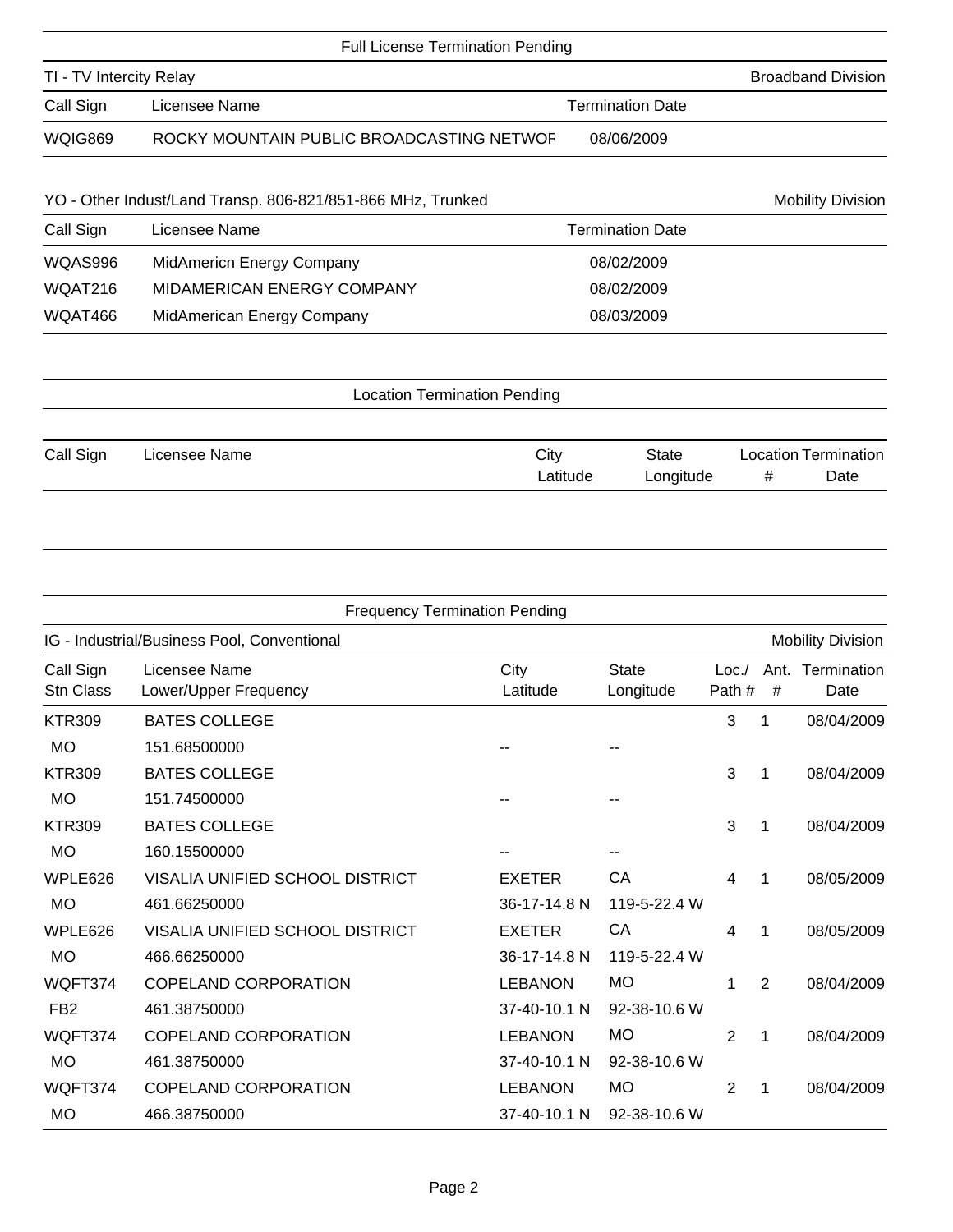|                         | <b>Full License Termination Pending</b>                     |                         |                          |
|-------------------------|-------------------------------------------------------------|-------------------------|--------------------------|
| TI - TV Intercity Relay | <b>Broadband Division</b>                                   |                         |                          |
| Call Sign               | Licensee Name                                               |                         |                          |
| <b>WQIG869</b>          | ROCKY MOUNTAIN PUBLIC BROADCASTING NETWOF                   | 08/06/2009              |                          |
|                         | YO - Other Indust/Land Transp. 806-821/851-866 MHz, Trunked |                         | <b>Mobility Division</b> |
| Call Sign               | Licensee Name                                               | <b>Termination Date</b> |                          |
| WQAS996                 | <b>MidAmericn Energy Company</b>                            | 08/02/2009              |                          |
| WQAT216                 | MIDAMERICAN ENERGY COMPANY                                  | 08/02/2009              |                          |
| WQAT466                 | MidAmerican Energy Company                                  | 08/03/2009              |                          |
|                         |                                                             |                         |                          |
|                         | <b>Location Termination Pending</b>                         |                         |                          |
|                         |                                                             |                         |                          |

| Call Sign | Licensee Name | City     | State     | Location Termination |      |
|-----------|---------------|----------|-----------|----------------------|------|
|           |               | _atitude | Longitude |                      | Date |

| <b>Frequency Termination Pending</b>        |                                        |                  |                           |                |           |                          |
|---------------------------------------------|----------------------------------------|------------------|---------------------------|----------------|-----------|--------------------------|
| IG - Industrial/Business Pool, Conventional |                                        |                  |                           |                |           | <b>Mobility Division</b> |
| Call Sign<br><b>Stn Class</b>               | Licensee Name<br>Lower/Upper Frequency | City<br>Latitude | <b>State</b><br>Longitude | Loc.<br>Path # | Ant.<br># | Termination<br>Date      |
| <b>KTR309</b>                               | <b>BATES COLLEGE</b>                   |                  |                           | 3              | 1         | 08/04/2009               |
| <b>MO</b>                                   | 151.68500000                           |                  |                           |                |           |                          |
| <b>KTR309</b>                               | <b>BATES COLLEGE</b>                   |                  |                           | 3              | 1         | 08/04/2009               |
| <b>MO</b>                                   | 151.74500000                           |                  |                           |                |           |                          |
| <b>KTR309</b>                               | <b>BATES COLLEGE</b>                   |                  |                           | 3              | 1         | 08/04/2009               |
| <b>MO</b>                                   | 160.15500000                           |                  |                           |                |           |                          |
| WPLE626                                     | VISALIA UNIFIED SCHOOL DISTRICT        | <b>EXETER</b>    | CA                        | 4              | 1         | 08/05/2009               |
| <b>MO</b>                                   | 461.66250000                           | 36-17-14.8 N     | 119-5-22.4 W              |                |           |                          |
| WPLE626                                     | VISALIA UNIFIED SCHOOL DISTRICT        | <b>EXETER</b>    | CA                        | 4              | 1         | 08/05/2009               |
| <b>MO</b>                                   | 466.66250000                           | 36-17-14.8 N     | 119-5-22.4 W              |                |           |                          |
| WQFT374                                     | <b>COPELAND CORPORATION</b>            | <b>LEBANON</b>   | <b>MO</b>                 | 1              | 2         | 08/04/2009               |
| FB <sub>2</sub>                             | 461.38750000                           | 37-40-10.1 N     | 92-38-10.6 W              |                |           |                          |
| WQFT374                                     | <b>COPELAND CORPORATION</b>            | <b>LEBANON</b>   | <b>MO</b>                 | 2              | 1         | 08/04/2009               |
| <b>MO</b>                                   | 461.38750000                           | 37-40-10.1 N     | 92-38-10.6 W              |                |           |                          |
| WQFT374                                     | <b>COPELAND CORPORATION</b>            | <b>LEBANON</b>   | <b>MO</b>                 | 2              | 1         | 08/04/2009               |
| <b>MO</b>                                   | 466.38750000                           | 37-40-10.1 N     | 92-38-10.6 W              |                |           |                          |